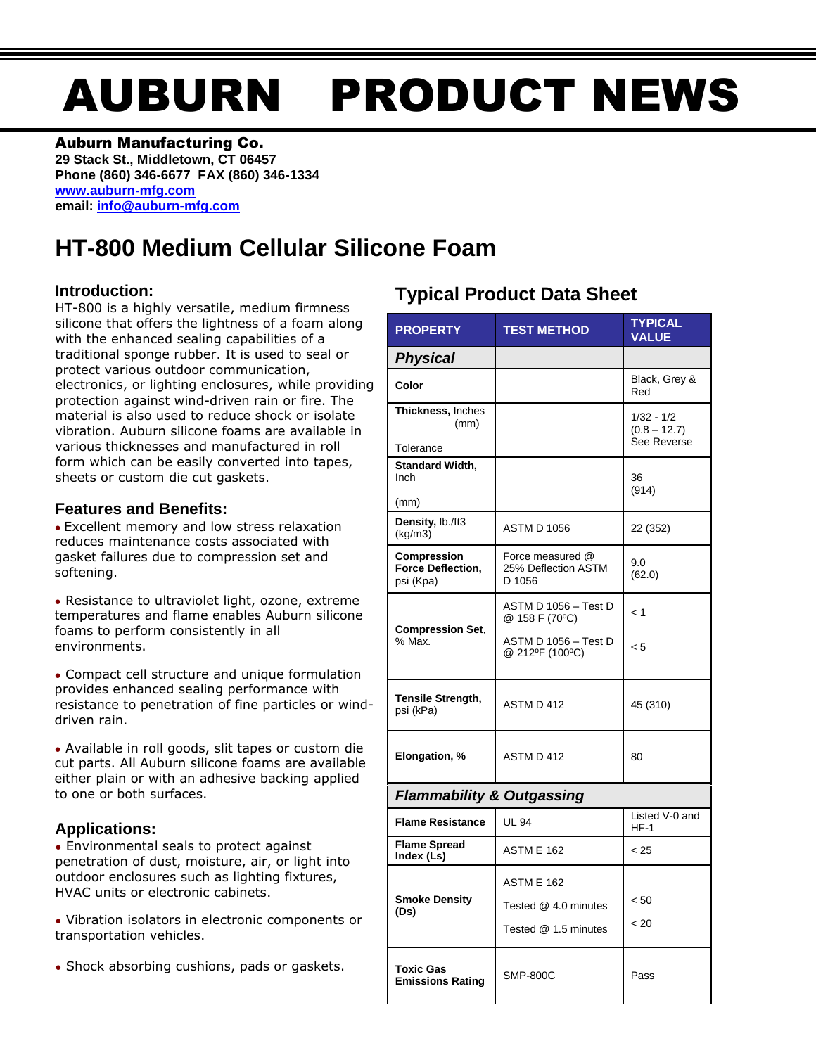# AUBURN PRODUCT NEWS

#### Auburn Manufacturing Co.

**29 Stack St., Middletown, CT 06457 Phone (860) 346-6677 FAX (860) 346-1334 [www.auburn-mfg.com](http://www.auburn-mfg.com/) email: [info@auburn-mfg.com](mailto:info@auburn-mfg.com)**

# **HT-800 Medium Cellular Silicone Foam**

## **Introduction:**

HT-800 is a highly versatile, medium firmness silicone that offers the lightness of a foam along with the enhanced sealing capabilities of a traditional sponge rubber. It is used to seal or protect various outdoor communication, electronics, or lighting enclosures, while providing protection against wind-driven rain or fire. The material is also used to reduce shock or isolate vibration. Auburn silicone foams are available in various thicknesses and manufactured in roll form which can be easily converted into tapes, sheets or custom die cut gaskets.

## **Features and Benefits:**

**●** Excellent memory and low stress relaxation reduces maintenance costs associated with gasket failures due to compression set and softening.

**●** Resistance to ultraviolet light, ozone, extreme temperatures and flame enables Auburn silicone foams to perform consistently in all environments.

**●** Compact cell structure and unique formulation provides enhanced sealing performance with resistance to penetration of fine particles or winddriven rain.

**●** Available in roll goods, slit tapes or custom die cut parts. All Auburn silicone foams are available either plain or with an adhesive backing applied to one or both surfaces.

## **Applications:**

**●** Environmental seals to protect against penetration of dust, moisture, air, or light into outdoor enclosures such as lighting fixtures, HVAC units or electronic cabinets.

**●** Vibration isolators in electronic components or transportation vehicles.

**●** Shock absorbing cushions, pads or gaskets.

# **Typical Product Data Sheet**

| <b>PROPERTY</b>                                             | <b>TEST METHOD</b>                                         | <b>TYPICAL</b><br><b>VALUE</b>                |  |  |  |
|-------------------------------------------------------------|------------------------------------------------------------|-----------------------------------------------|--|--|--|
| <b>Physical</b>                                             |                                                            |                                               |  |  |  |
| Color                                                       |                                                            | Black, Grey &<br>Red                          |  |  |  |
| Thickness, Inches<br>(mm)<br>Tolerance                      |                                                            | $1/32 - 1/2$<br>$(0.8 - 12.7)$<br>See Reverse |  |  |  |
| <b>Standard Width,</b><br>Inch<br>(mm)                      |                                                            | 36<br>(914)                                   |  |  |  |
| Density, lb./ft3<br>(kq/m3)                                 | <b>ASTM D 1056</b>                                         | 22 (352)                                      |  |  |  |
| <b>Compression</b><br><b>Force Deflection,</b><br>psi (Kpa) | Force measured @<br>25% Deflection ASTM<br>D 1056          | 9.0<br>(62.0)                                 |  |  |  |
| <b>Compression Set,</b><br>% Max.                           | ASTM D 1056 – Test D<br>@ 158 F (70°C)                     | < 1                                           |  |  |  |
|                                                             | ASTM D 1056 - Test D<br>@ 212ºF (100°C)                    | < 5                                           |  |  |  |
| <b>Tensile Strength,</b><br>psi (kPa)                       | ASTM D 412                                                 | 45 (310)                                      |  |  |  |
| Elongation, %                                               | ASTM D 412                                                 | 80                                            |  |  |  |
| <b>Flammability &amp; Outgassing</b>                        |                                                            |                                               |  |  |  |
| <b>Flame Resistance</b>                                     | <b>UL 94</b>                                               | Listed V-0 and<br>$HF-1$                      |  |  |  |
| <b>Flame Spread</b><br>Index (Ls)                           | <b>ASTM E 162</b>                                          | < 25                                          |  |  |  |
| <b>Smoke Density</b><br>(Ds)                                | ASTM E 162<br>Tested @ 4.0 minutes<br>Tested @ 1.5 minutes | < 50<br>< 20                                  |  |  |  |
| <b>Toxic Gas</b><br><b>Emissions Rating</b>                 | <b>SMP-800C</b>                                            | Pass                                          |  |  |  |